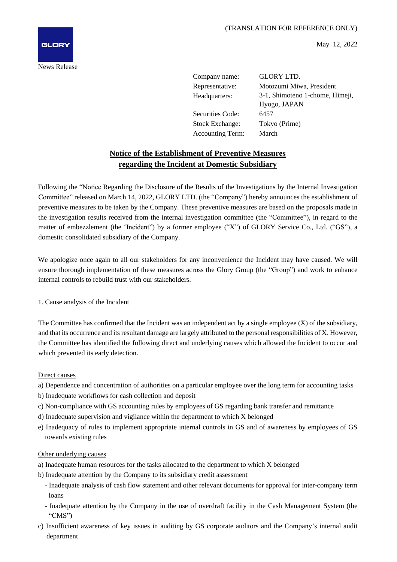

May 12, 2022

Company name: GLORY LTD.

Securities Code: 6457 Stock Exchange: Tokyo (Prime) Accounting Term: March

Representative: Motozumi Miwa, President Headquarters: 3-1, Shimoteno 1-chome, Himeji, Hyogo, JAPAN

# **Notice of the Establishment of Preventive Measures regarding the Incident at Domestic Subsidiary**

Following the "Notice Regarding the Disclosure of the Results of the Investigations by the Internal Investigation Committee" released on March 14, 2022, GLORY LTD. (the "Company") hereby announces the establishment of preventive measures to be taken by the Company. These preventive measures are based on the proposals made in the investigation results received from the internal investigation committee (the "Committee"), in regard to the matter of embezzlement (the 'Incident") by a former employee ("X") of GLORY Service Co., Ltd. ("GS"), a domestic consolidated subsidiary of the Company.

We apologize once again to all our stakeholders for any inconvenience the Incident may have caused. We will ensure thorough implementation of these measures across the Glory Group (the "Group") and work to enhance internal controls to rebuild trust with our stakeholders.

# 1. Cause analysis of the Incident

The Committee has confirmed that the Incident was an independent act by a single employee (X) of the subsidiary, and that its occurrence and its resultant damage are largely attributed to the personal responsibilities of X. However, the Committee has identified the following direct and underlying causes which allowed the Incident to occur and which prevented its early detection.

## Direct causes

- a) Dependence and concentration of authorities on a particular employee over the long term for accounting tasks
- b) Inadequate workflows for cash collection and deposit
- c) Non-compliance with GS accounting rules by employees of GS regarding bank transfer and remittance
- d) Inadequate supervision and vigilance within the department to which X belonged
- e) Inadequacy of rules to implement appropriate internal controls in GS and of awareness by employees of GS towards existing rules

## Other underlying causes

- a) Inadequate human resources for the tasks allocated to the department to which X belonged
- b) Inadequate attention by the Company to its subsidiary credit assessment
	- Inadequate analysis of cash flow statement and other relevant documents for approval for inter-company term loans
	- Inadequate attention by the Company in the use of overdraft facility in the Cash Management System (the "CMS")
- c) Insufficient awareness of key issues in auditing by GS corporate auditors and the Company's internal audit department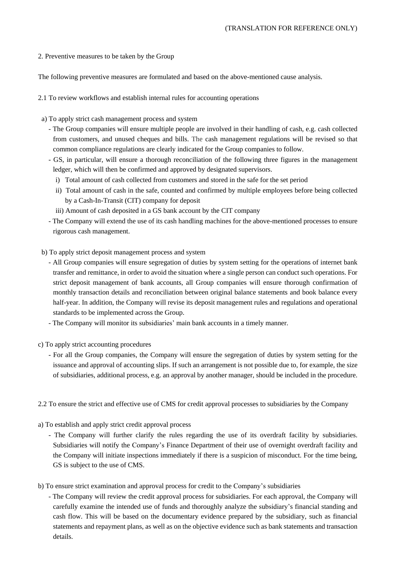## 2. Preventive measures to be taken by the Group

The following preventive measures are formulated and based on the above-mentioned cause analysis.

- 2.1 To review workflows and establish internal rules for accounting operations
- a) To apply strict cash management process and system
	- The Group companies will ensure multiple people are involved in their handling of cash, e.g. cash collected from customers, and unused cheques and bills. The cash management regulations will be revised so that common compliance regulations are clearly indicated for the Group companies to follow.
	- GS, in particular, will ensure a thorough reconciliation of the following three figures in the management ledger, which will then be confirmed and approved by designated supervisors.
		- i) Total amount of cash collected from customers and stored in the safe for the set period
		- ii) Total amount of cash in the safe, counted and confirmed by multiple employees before being collected by a Cash-In-Transit (CIT) company for deposit

iii) Amount of cash deposited in a GS bank account by the CIT company

- The Company will extend the use of its cash handling machines for the above-mentioned processes to ensure rigorous cash management.
- b) To apply strict deposit management process and system
	- All Group companies will ensure segregation of duties by system setting for the operations of internet bank transfer and remittance, in order to avoid the situation where a single person can conduct such operations. For strict deposit management of bank accounts, all Group companies will ensure thorough confirmation of monthly transaction details and reconciliation between original balance statements and book balance every half-year. In addition, the Company will revise its deposit management rules and regulations and operational standards to be implemented across the Group.
	- The Company will monitor its subsidiaries' main bank accounts in a timely manner.
- c) To apply strict accounting procedures
	- For all the Group companies, the Company will ensure the segregation of duties by system setting for the issuance and approval of accounting slips. If such an arrangement is not possible due to, for example, the size of subsidiaries, additional process, e.g. an approval by another manager, should be included in the procedure.
- 2.2 To ensure the strict and effective use of CMS for credit approval processes to subsidiaries by the Company
- a) To establish and apply strict credit approval process
	- The Company will further clarify the rules regarding the use of its overdraft facility by subsidiaries. Subsidiaries will notify the Company's Finance Department of their use of overnight overdraft facility and the Company will initiate inspections immediately if there is a suspicion of misconduct. For the time being, GS is subject to the use of CMS.
- b) To ensure strict examination and approval process for credit to the Company's subsidiaries
	- The Company will review the credit approval process for subsidiaries. For each approval, the Company will carefully examine the intended use of funds and thoroughly analyze the subsidiary's financial standing and cash flow. This will be based on the documentary evidence prepared by the subsidiary, such as financial statements and repayment plans, as well as on the objective evidence such as bank statements and transaction details.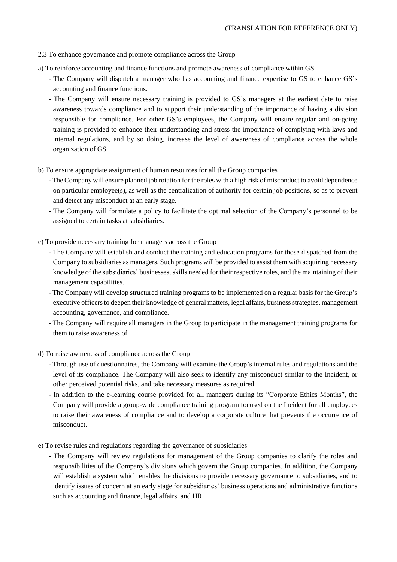#### 2.3 To enhance governance and promote compliance across the Group

- a) To reinforce accounting and finance functions and promote awareness of compliance within GS
	- The Company will dispatch a manager who has accounting and finance expertise to GS to enhance GS's accounting and finance functions.
	- The Company will ensure necessary training is provided to GS's managers at the earliest date to raise awareness towards compliance and to support their understanding of the importance of having a division responsible for compliance. For other GS's employees, the Company will ensure regular and on-going training is provided to enhance their understanding and stress the importance of complying with laws and internal regulations, and by so doing, increase the level of awareness of compliance across the whole organization of GS.
- b) To ensure appropriate assignment of human resources for all the Group companies
	- The Company will ensure planned job rotation for the roles with a high risk of misconduct to avoid dependence on particular employee(s), as well as the centralization of authority for certain job positions, so as to prevent and detect any misconduct at an early stage.
	- The Company will formulate a policy to facilitate the optimal selection of the Company's personnel to be assigned to certain tasks at subsidiaries.
- c) To provide necessary training for managers across the Group
	- The Company will establish and conduct the training and education programs for those dispatched from the Company to subsidiaries as managers. Such programs will be provided to assist them with acquiring necessary knowledge of the subsidiaries' businesses, skills needed for their respective roles, and the maintaining of their management capabilities.
	- The Company will develop structured training programs to be implemented on a regular basis for the Group's executive officers to deepen their knowledge of general matters, legal affairs, business strategies, management accounting, governance, and compliance.
	- The Company will require all managers in the Group to participate in the management training programs for them to raise awareness of.
- d) To raise awareness of compliance across the Group
	- Through use of questionnaires, the Company will examine the Group's internal rules and regulations and the level of its compliance. The Company will also seek to identify any misconduct similar to the Incident, or other perceived potential risks, and take necessary measures as required.
	- In addition to the e-learning course provided for all managers during its "Corporate Ethics Months", the Company will provide a group-wide compliance training program focused on the Incident for all employees to raise their awareness of compliance and to develop a corporate culture that prevents the occurrence of misconduct.
- e) To revise rules and regulations regarding the governance of subsidiaries
	- The Company will review regulations for management of the Group companies to clarify the roles and responsibilities of the Company's divisions which govern the Group companies. In addition, the Company will establish a system which enables the divisions to provide necessary governance to subsidiaries, and to identify issues of concern at an early stage for subsidiaries' business operations and administrative functions such as accounting and finance, legal affairs, and HR.